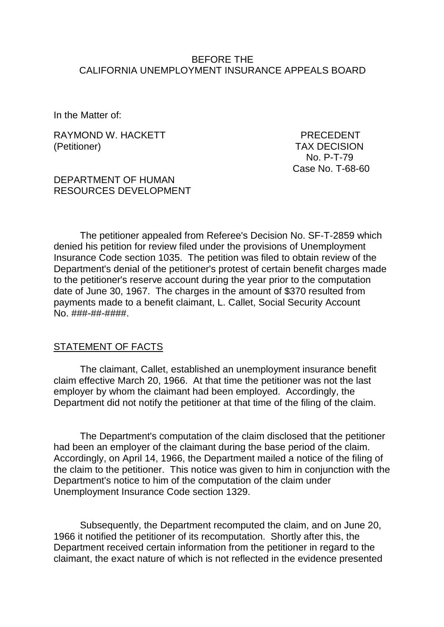#### BEFORE THE CALIFORNIA UNEMPLOYMENT INSURANCE APPEALS BOARD

In the Matter of:

RAYMOND W. HACKETT PRECEDENT (Petitioner) TAX DECISION

 No. P-T-79 Case No. T-68-60

#### DEPARTMENT OF HUMAN RESOURCES DEVELOPMENT

The petitioner appealed from Referee's Decision No. SF-T-2859 which denied his petition for review filed under the provisions of Unemployment Insurance Code section 1035. The petition was filed to obtain review of the Department's denial of the petitioner's protest of certain benefit charges made to the petitioner's reserve account during the year prior to the computation date of June 30, 1967. The charges in the amount of \$370 resulted from payments made to a benefit claimant, L. Callet, Social Security Account No. ###-##-####.

#### STATEMENT OF FACTS

The claimant, Callet, established an unemployment insurance benefit claim effective March 20, 1966. At that time the petitioner was not the last employer by whom the claimant had been employed. Accordingly, the Department did not notify the petitioner at that time of the filing of the claim.

The Department's computation of the claim disclosed that the petitioner had been an employer of the claimant during the base period of the claim. Accordingly, on April 14, 1966, the Department mailed a notice of the filing of the claim to the petitioner. This notice was given to him in conjunction with the Department's notice to him of the computation of the claim under Unemployment Insurance Code section 1329.

Subsequently, the Department recomputed the claim, and on June 20, 1966 it notified the petitioner of its recomputation. Shortly after this, the Department received certain information from the petitioner in regard to the claimant, the exact nature of which is not reflected in the evidence presented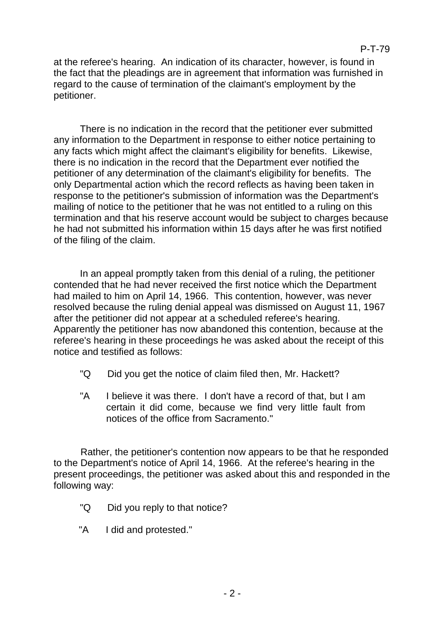at the referee's hearing. An indication of its character, however, is found in the fact that the pleadings are in agreement that information was furnished in regard to the cause of termination of the claimant's employment by the petitioner.

There is no indication in the record that the petitioner ever submitted any information to the Department in response to either notice pertaining to any facts which might affect the claimant's eligibility for benefits. Likewise, there is no indication in the record that the Department ever notified the petitioner of any determination of the claimant's eligibility for benefits. The only Departmental action which the record reflects as having been taken in response to the petitioner's submission of information was the Department's mailing of notice to the petitioner that he was not entitled to a ruling on this termination and that his reserve account would be subject to charges because he had not submitted his information within 15 days after he was first notified of the filing of the claim.

In an appeal promptly taken from this denial of a ruling, the petitioner contended that he had never received the first notice which the Department had mailed to him on April 14, 1966. This contention, however, was never resolved because the ruling denial appeal was dismissed on August 11, 1967 after the petitioner did not appear at a scheduled referee's hearing. Apparently the petitioner has now abandoned this contention, because at the referee's hearing in these proceedings he was asked about the receipt of this notice and testified as follows:

- "Q Did you get the notice of claim filed then, Mr. Hackett?
- "A I believe it was there. I don't have a record of that, but I am certain it did come, because we find very little fault from notices of the office from Sacramento."

Rather, the petitioner's contention now appears to be that he responded to the Department's notice of April 14, 1966. At the referee's hearing in the present proceedings, the petitioner was asked about this and responded in the following way:

- "Q Did you reply to that notice?
- "A I did and protested."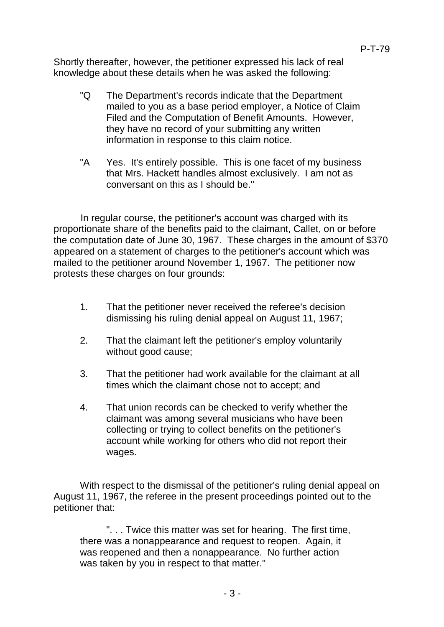Shortly thereafter, however, the petitioner expressed his lack of real knowledge about these details when he was asked the following:

- "Q The Department's records indicate that the Department mailed to you as a base period employer, a Notice of Claim Filed and the Computation of Benefit Amounts. However, they have no record of your submitting any written information in response to this claim notice.
- "A Yes. It's entirely possible. This is one facet of my business that Mrs. Hackett handles almost exclusively. I am not as conversant on this as I should be."

In regular course, the petitioner's account was charged with its proportionate share of the benefits paid to the claimant, Callet, on or before the computation date of June 30, 1967. These charges in the amount of \$370 appeared on a statement of charges to the petitioner's account which was mailed to the petitioner around November 1, 1967. The petitioner now protests these charges on four grounds:

- 1. That the petitioner never received the referee's decision dismissing his ruling denial appeal on August 11, 1967;
- 2. That the claimant left the petitioner's employ voluntarily without good cause;
- 3. That the petitioner had work available for the claimant at all times which the claimant chose not to accept; and
- 4. That union records can be checked to verify whether the claimant was among several musicians who have been collecting or trying to collect benefits on the petitioner's account while working for others who did not report their wages.

With respect to the dismissal of the petitioner's ruling denial appeal on August 11, 1967, the referee in the present proceedings pointed out to the petitioner that:

". . . Twice this matter was set for hearing. The first time, there was a nonappearance and request to reopen. Again, it was reopened and then a nonappearance. No further action was taken by you in respect to that matter."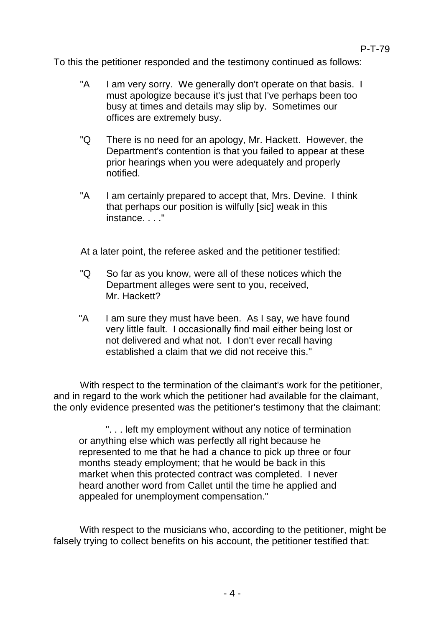To this the petitioner responded and the testimony continued as follows:

- "A I am very sorry. We generally don't operate on that basis. I must apologize because it's just that I've perhaps been too busy at times and details may slip by. Sometimes our offices are extremely busy.
- "Q There is no need for an apology, Mr. Hackett. However, the Department's contention is that you failed to appear at these prior hearings when you were adequately and properly notified.
- "A I am certainly prepared to accept that, Mrs. Devine. I think that perhaps our position is wilfully [sic] weak in this instance. . . ."

At a later point, the referee asked and the petitioner testified:

- "Q So far as you know, were all of these notices which the Department alleges were sent to you, received, Mr. Hackett?
- "A I am sure they must have been. As I say, we have found very little fault. I occasionally find mail either being lost or not delivered and what not. I don't ever recall having established a claim that we did not receive this."

With respect to the termination of the claimant's work for the petitioner, and in regard to the work which the petitioner had available for the claimant, the only evidence presented was the petitioner's testimony that the claimant:

". . . left my employment without any notice of termination or anything else which was perfectly all right because he represented to me that he had a chance to pick up three or four months steady employment; that he would be back in this market when this protected contract was completed. I never heard another word from Callet until the time he applied and appealed for unemployment compensation."

With respect to the musicians who, according to the petitioner, might be falsely trying to collect benefits on his account, the petitioner testified that: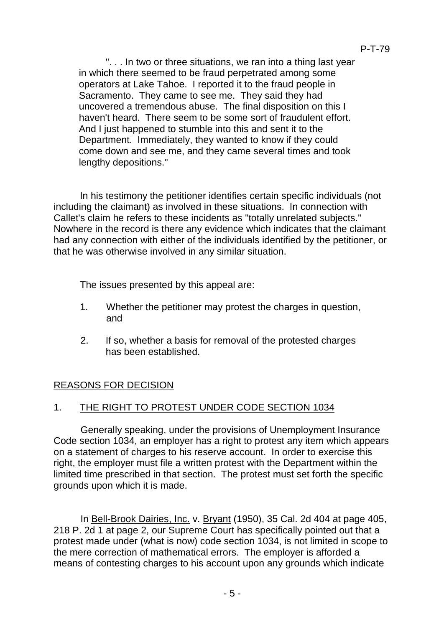". . . In two or three situations, we ran into a thing last year in which there seemed to be fraud perpetrated among some operators at Lake Tahoe. I reported it to the fraud people in Sacramento. They came to see me. They said they had uncovered a tremendous abuse. The final disposition on this I haven't heard. There seem to be some sort of fraudulent effort. And I just happened to stumble into this and sent it to the Department. Immediately, they wanted to know if they could come down and see me, and they came several times and took lengthy depositions."

In his testimony the petitioner identifies certain specific individuals (not including the claimant) as involved in these situations. In connection with Callet's claim he refers to these incidents as "totally unrelated subjects." Nowhere in the record is there any evidence which indicates that the claimant had any connection with either of the individuals identified by the petitioner, or that he was otherwise involved in any similar situation.

The issues presented by this appeal are:

- 1. Whether the petitioner may protest the charges in question, and
- 2. If so, whether a basis for removal of the protested charges has been established.

# REASONS FOR DECISION

# 1. THE RIGHT TO PROTEST UNDER CODE SECTION 1034

Generally speaking, under the provisions of Unemployment Insurance Code section 1034, an employer has a right to protest any item which appears on a statement of charges to his reserve account. In order to exercise this right, the employer must file a written protest with the Department within the limited time prescribed in that section. The protest must set forth the specific grounds upon which it is made.

In Bell-Brook Dairies, Inc. v. Bryant (1950), 35 Cal. 2d 404 at page 405, 218 P. 2d 1 at page 2, our Supreme Court has specifically pointed out that a protest made under (what is now) code section 1034, is not limited in scope to the mere correction of mathematical errors. The employer is afforded a means of contesting charges to his account upon any grounds which indicate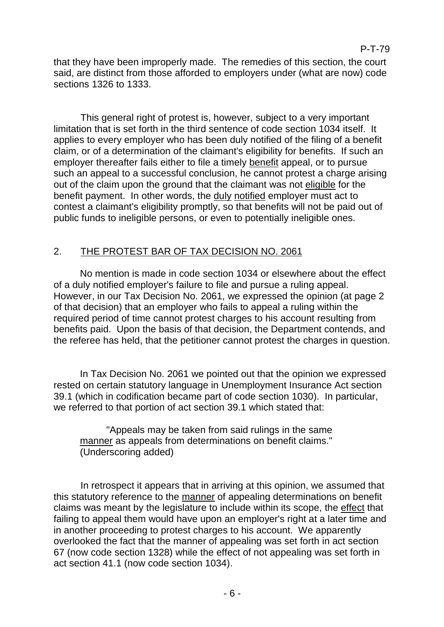that they have been improperly made. The remedies of this section, the court said, are distinct from those afforded to employers under (what are now) code sections 1326 to 1333.

This general right of protest is, however, subject to a very important limitation that is set forth in the third sentence of code section 1034 itself. It applies to every employer who has been duly notified of the filing of a benefit claim, or of a determination of the claimant's eligibility for benefits. If such an employer thereafter fails either to file a timely benefit appeal, or to pursue such an appeal to a successful conclusion, he cannot protest a charge arising out of the claim upon the ground that the claimant was not eligible for the benefit payment. In other words, the duly notified employer must act to contest a claimant's eligibility promptly, so that benefits will not be paid out of public funds to ineligible persons, or even to potentially ineligible ones.

# 2. THE PROTEST BAR OF TAX DECISION NO. 2061

No mention is made in code section 1034 or elsewhere about the effect of a duly notified employer's failure to file and pursue a ruling appeal. However, in our Tax Decision No. 2061, we expressed the opinion (at page 2 of that decision) that an employer who fails to appeal a ruling within the required period of time cannot protest charges to his account resulting from benefits paid. Upon the basis of that decision, the Department contends, and the referee has held, that the petitioner cannot protest the charges in question.

In Tax Decision No. 2061 we pointed out that the opinion we expressed rested on certain statutory language in Unemployment Insurance Act section 39.1 (which in codification became part of code section 1030). In particular, we referred to that portion of act section 39.1 which stated that:

"Appeals may be taken from said rulings in the same manner as appeals from determinations on benefit claims." (Underscoring added)

In retrospect it appears that in arriving at this opinion, we assumed that this statutory reference to the manner of appealing determinations on benefit claims was meant by the legislature to include within its scope, the effect that failing to appeal them would have upon an employer's right at a later time and in another proceeding to protest charges to his account. We apparently overlooked the fact that the manner of appealing was set forth in act section 67 (now code section 1328) while the effect of not appealing was set forth in act section 41.1 (now code section 1034).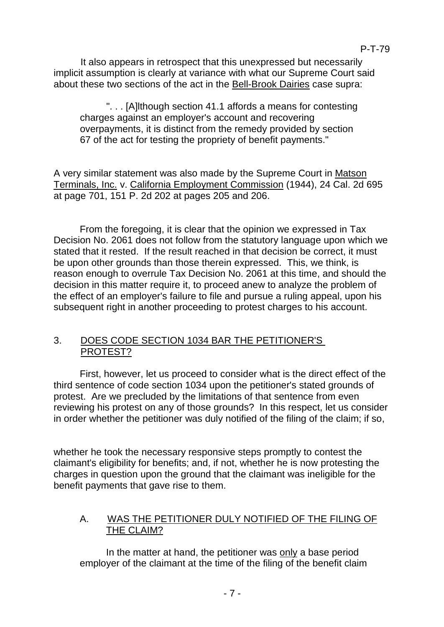It also appears in retrospect that this unexpressed but necessarily implicit assumption is clearly at variance with what our Supreme Court said about these two sections of the act in the Bell-Brook Dairies case supra:

". . . [A]lthough section 41.1 affords a means for contesting charges against an employer's account and recovering overpayments, it is distinct from the remedy provided by section 67 of the act for testing the propriety of benefit payments."

A very similar statement was also made by the Supreme Court in Matson Terminals, Inc. v. California Employment Commission (1944), 24 Cal. 2d 695 at page 701, 151 P. 2d 202 at pages 205 and 206.

From the foregoing, it is clear that the opinion we expressed in Tax Decision No. 2061 does not follow from the statutory language upon which we stated that it rested. If the result reached in that decision be correct, it must be upon other grounds than those therein expressed. This, we think, is reason enough to overrule Tax Decision No. 2061 at this time, and should the decision in this matter require it, to proceed anew to analyze the problem of the effect of an employer's failure to file and pursue a ruling appeal, upon his subsequent right in another proceeding to protest charges to his account.

# 3. DOES CODE SECTION 1034 BAR THE PETITIONER'S PROTEST?

First, however, let us proceed to consider what is the direct effect of the third sentence of code section 1034 upon the petitioner's stated grounds of protest. Are we precluded by the limitations of that sentence from even reviewing his protest on any of those grounds? In this respect, let us consider in order whether the petitioner was duly notified of the filing of the claim; if so,

whether he took the necessary responsive steps promptly to contest the claimant's eligibility for benefits; and, if not, whether he is now protesting the charges in question upon the ground that the claimant was ineligible for the benefit payments that gave rise to them.

# A. WAS THE PETITIONER DULY NOTIFIED OF THE FILING OF THE CLAIM?

In the matter at hand, the petitioner was only a base period employer of the claimant at the time of the filing of the benefit claim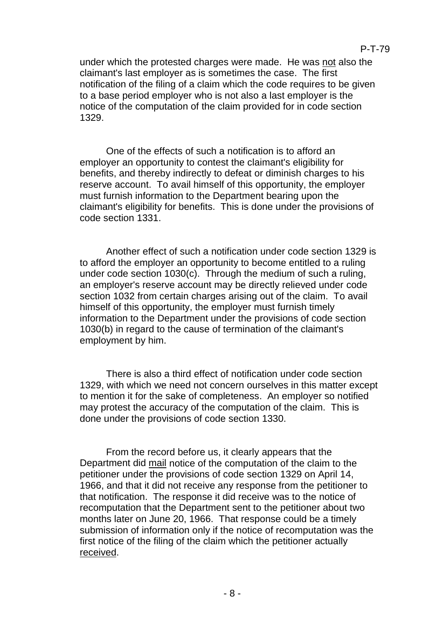under which the protested charges were made. He was not also the claimant's last employer as is sometimes the case. The first notification of the filing of a claim which the code requires to be given to a base period employer who is not also a last employer is the notice of the computation of the claim provided for in code section 1329.

One of the effects of such a notification is to afford an employer an opportunity to contest the claimant's eligibility for benefits, and thereby indirectly to defeat or diminish charges to his reserve account. To avail himself of this opportunity, the employer must furnish information to the Department bearing upon the claimant's eligibility for benefits. This is done under the provisions of code section 1331.

Another effect of such a notification under code section 1329 is to afford the employer an opportunity to become entitled to a ruling under code section 1030(c). Through the medium of such a ruling, an employer's reserve account may be directly relieved under code section 1032 from certain charges arising out of the claim. To avail himself of this opportunity, the employer must furnish timely information to the Department under the provisions of code section 1030(b) in regard to the cause of termination of the claimant's employment by him.

There is also a third effect of notification under code section 1329, with which we need not concern ourselves in this matter except to mention it for the sake of completeness. An employer so notified may protest the accuracy of the computation of the claim. This is done under the provisions of code section 1330.

From the record before us, it clearly appears that the Department did mail notice of the computation of the claim to the petitioner under the provisions of code section 1329 on April 14, 1966, and that it did not receive any response from the petitioner to that notification. The response it did receive was to the notice of recomputation that the Department sent to the petitioner about two months later on June 20, 1966. That response could be a timely submission of information only if the notice of recomputation was the first notice of the filing of the claim which the petitioner actually received.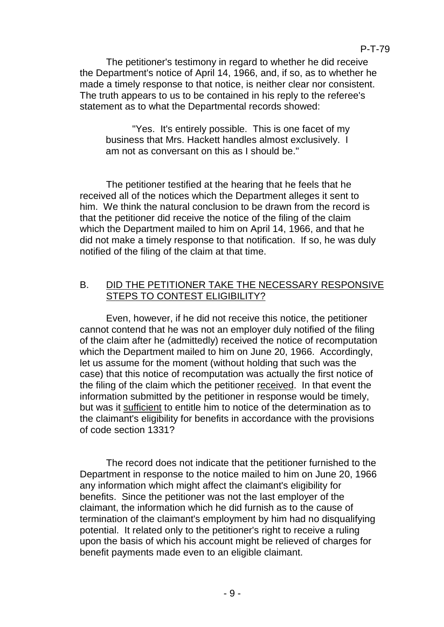The petitioner's testimony in regard to whether he did receive the Department's notice of April 14, 1966, and, if so, as to whether he made a timely response to that notice, is neither clear nor consistent. The truth appears to us to be contained in his reply to the referee's statement as to what the Departmental records showed:

"Yes. It's entirely possible. This is one facet of my business that Mrs. Hackett handles almost exclusively. I am not as conversant on this as I should be."

The petitioner testified at the hearing that he feels that he received all of the notices which the Department alleges it sent to him. We think the natural conclusion to be drawn from the record is that the petitioner did receive the notice of the filing of the claim which the Department mailed to him on April 14, 1966, and that he did not make a timely response to that notification. If so, he was duly notified of the filing of the claim at that time.

### B. DID THE PETITIONER TAKE THE NECESSARY RESPONSIVE STEPS TO CONTEST ELIGIBILITY?

Even, however, if he did not receive this notice, the petitioner cannot contend that he was not an employer duly notified of the filing of the claim after he (admittedly) received the notice of recomputation which the Department mailed to him on June 20, 1966. Accordingly, let us assume for the moment (without holding that such was the case) that this notice of recomputation was actually the first notice of the filing of the claim which the petitioner received. In that event the information submitted by the petitioner in response would be timely, but was it sufficient to entitle him to notice of the determination as to the claimant's eligibility for benefits in accordance with the provisions of code section 1331?

The record does not indicate that the petitioner furnished to the Department in response to the notice mailed to him on June 20, 1966 any information which might affect the claimant's eligibility for benefits. Since the petitioner was not the last employer of the claimant, the information which he did furnish as to the cause of termination of the claimant's employment by him had no disqualifying potential. It related only to the petitioner's right to receive a ruling upon the basis of which his account might be relieved of charges for benefit payments made even to an eligible claimant.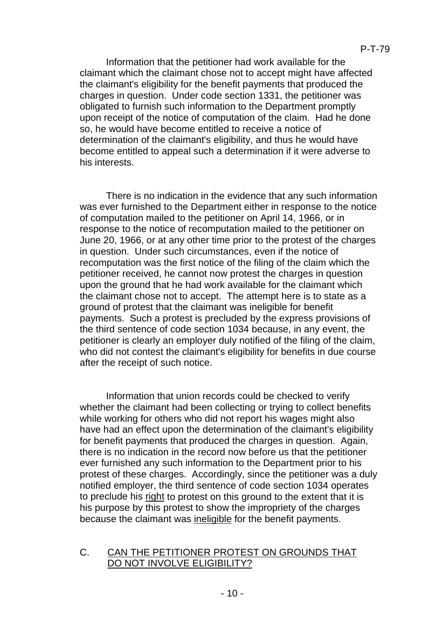Information that the petitioner had work available for the claimant which the claimant chose not to accept might have affected the claimant's eligibility for the benefit payments that produced the charges in question. Under code section 1331, the petitioner was obligated to furnish such information to the Department promptly upon receipt of the notice of computation of the claim. Had he done so, he would have become entitled to receive a notice of determination of the claimant's eligibility, and thus he would have become entitled to appeal such a determination if it were adverse to his interests.

There is no indication in the evidence that any such information was ever furnished to the Department either in response to the notice of computation mailed to the petitioner on April 14, 1966, or in response to the notice of recomputation mailed to the petitioner on June 20, 1966, or at any other time prior to the protest of the charges in question. Under such circumstances, even if the notice of recomputation was the first notice of the filing of the claim which the petitioner received, he cannot now protest the charges in question upon the ground that he had work available for the claimant which the claimant chose not to accept. The attempt here is to state as a ground of protest that the claimant was ineligible for benefit payments. Such a protest is precluded by the express provisions of the third sentence of code section 1034 because, in any event, the petitioner is clearly an employer duly notified of the filing of the claim, who did not contest the claimant's eligibility for benefits in due course after the receipt of such notice.

Information that union records could be checked to verify whether the claimant had been collecting or trying to collect benefits while working for others who did not report his wages might also have had an effect upon the determination of the claimant's eligibility for benefit payments that produced the charges in question. Again, there is no indication in the record now before us that the petitioner ever furnished any such information to the Department prior to his protest of these charges. Accordingly, since the petitioner was a duly notified employer, the third sentence of code section 1034 operates to preclude his right to protest on this ground to the extent that it is his purpose by this protest to show the impropriety of the charges because the claimant was ineligible for the benefit payments.

### C. CAN THE PETITIONER PROTEST ON GROUNDS THAT DO NOT INVOLVE ELIGIBILITY?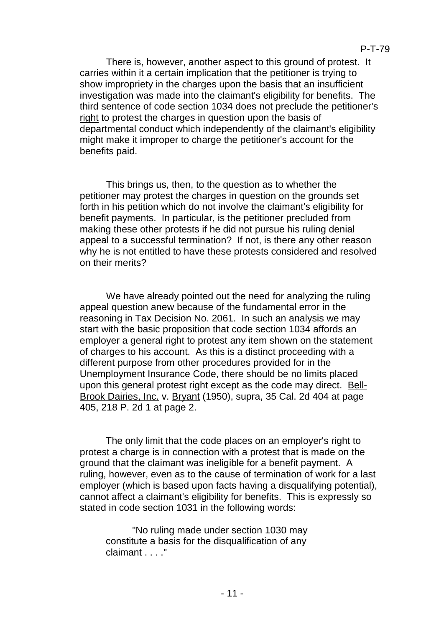There is, however, another aspect to this ground of protest. It carries within it a certain implication that the petitioner is trying to show impropriety in the charges upon the basis that an insufficient investigation was made into the claimant's eligibility for benefits. The third sentence of code section 1034 does not preclude the petitioner's right to protest the charges in question upon the basis of departmental conduct which independently of the claimant's eligibility might make it improper to charge the petitioner's account for the benefits paid.

This brings us, then, to the question as to whether the petitioner may protest the charges in question on the grounds set forth in his petition which do not involve the claimant's eligibility for benefit payments. In particular, is the petitioner precluded from making these other protests if he did not pursue his ruling denial appeal to a successful termination? If not, is there any other reason why he is not entitled to have these protests considered and resolved on their merits?

We have already pointed out the need for analyzing the ruling appeal question anew because of the fundamental error in the reasoning in Tax Decision No. 2061. In such an analysis we may start with the basic proposition that code section 1034 affords an employer a general right to protest any item shown on the statement of charges to his account. As this is a distinct proceeding with a different purpose from other procedures provided for in the Unemployment Insurance Code, there should be no limits placed upon this general protest right except as the code may direct. Bell-Brook Dairies, Inc. v. Bryant (1950), supra, 35 Cal. 2d 404 at page 405, 218 P. 2d 1 at page 2.

The only limit that the code places on an employer's right to protest a charge is in connection with a protest that is made on the ground that the claimant was ineligible for a benefit payment. A ruling, however, even as to the cause of termination of work for a last employer (which is based upon facts having a disqualifying potential), cannot affect a claimant's eligibility for benefits. This is expressly so stated in code section 1031 in the following words:

"No ruling made under section 1030 may constitute a basis for the disqualification of any claimant . . . ."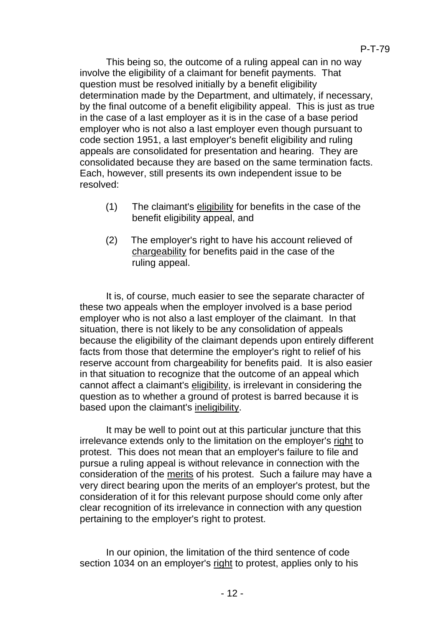This being so, the outcome of a ruling appeal can in no way involve the eligibility of a claimant for benefit payments. That question must be resolved initially by a benefit eligibility determination made by the Department, and ultimately, if necessary, by the final outcome of a benefit eligibility appeal. This is just as true in the case of a last employer as it is in the case of a base period employer who is not also a last employer even though pursuant to code section 1951, a last employer's benefit eligibility and ruling appeals are consolidated for presentation and hearing. They are consolidated because they are based on the same termination facts. Each, however, still presents its own independent issue to be resolved:

- (1) The claimant's eligibility for benefits in the case of the benefit eligibility appeal, and
- (2) The employer's right to have his account relieved of chargeability for benefits paid in the case of the ruling appeal.

It is, of course, much easier to see the separate character of these two appeals when the employer involved is a base period employer who is not also a last employer of the claimant. In that situation, there is not likely to be any consolidation of appeals because the eligibility of the claimant depends upon entirely different facts from those that determine the employer's right to relief of his reserve account from chargeability for benefits paid. It is also easier in that situation to recognize that the outcome of an appeal which cannot affect a claimant's eligibility, is irrelevant in considering the question as to whether a ground of protest is barred because it is based upon the claimant's ineligibility.

It may be well to point out at this particular juncture that this irrelevance extends only to the limitation on the employer's right to protest. This does not mean that an employer's failure to file and pursue a ruling appeal is without relevance in connection with the consideration of the merits of his protest. Such a failure may have a very direct bearing upon the merits of an employer's protest, but the consideration of it for this relevant purpose should come only after clear recognition of its irrelevance in connection with any question pertaining to the employer's right to protest.

In our opinion, the limitation of the third sentence of code section 1034 on an employer's right to protest, applies only to his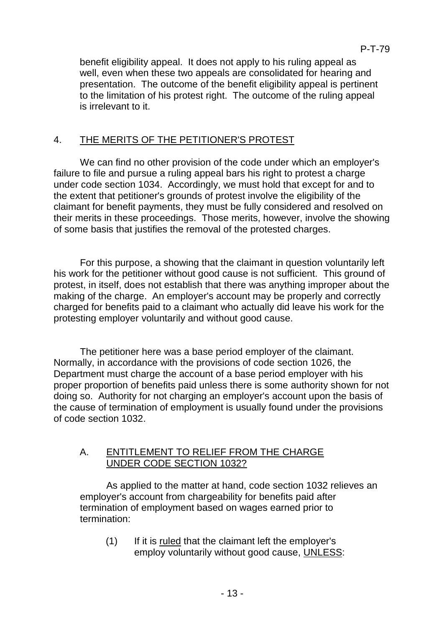benefit eligibility appeal. It does not apply to his ruling appeal as well, even when these two appeals are consolidated for hearing and presentation. The outcome of the benefit eligibility appeal is pertinent to the limitation of his protest right. The outcome of the ruling appeal is irrelevant to it.

# 4. THE MERITS OF THE PETITIONER'S PROTEST

We can find no other provision of the code under which an employer's failure to file and pursue a ruling appeal bars his right to protest a charge under code section 1034. Accordingly, we must hold that except for and to the extent that petitioner's grounds of protest involve the eligibility of the claimant for benefit payments, they must be fully considered and resolved on their merits in these proceedings. Those merits, however, involve the showing of some basis that justifies the removal of the protested charges.

For this purpose, a showing that the claimant in question voluntarily left his work for the petitioner without good cause is not sufficient. This ground of protest, in itself, does not establish that there was anything improper about the making of the charge. An employer's account may be properly and correctly charged for benefits paid to a claimant who actually did leave his work for the protesting employer voluntarily and without good cause.

The petitioner here was a base period employer of the claimant. Normally, in accordance with the provisions of code section 1026, the Department must charge the account of a base period employer with his proper proportion of benefits paid unless there is some authority shown for not doing so. Authority for not charging an employer's account upon the basis of the cause of termination of employment is usually found under the provisions of code section 1032.

# A. ENTITLEMENT TO RELIEF FROM THE CHARGE UNDER CODE SECTION 1032?

As applied to the matter at hand, code section 1032 relieves an employer's account from chargeability for benefits paid after termination of employment based on wages earned prior to termination:

(1) If it is ruled that the claimant left the employer's employ voluntarily without good cause, UNLESS: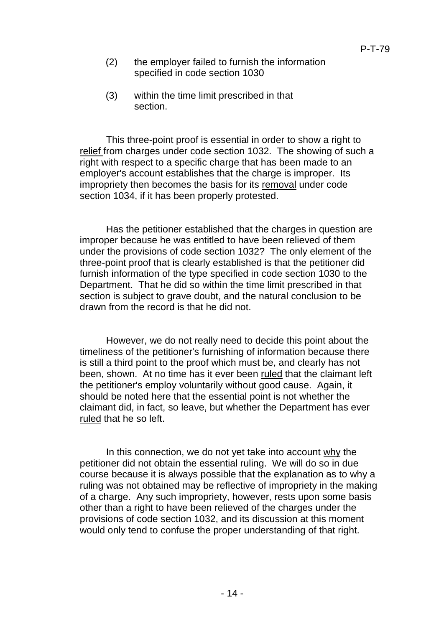- (2) the employer failed to furnish the information specified in code section 1030
- (3) within the time limit prescribed in that section.

This three-point proof is essential in order to show a right to relief from charges under code section 1032. The showing of such a right with respect to a specific charge that has been made to an employer's account establishes that the charge is improper. Its impropriety then becomes the basis for its removal under code section 1034, if it has been properly protested.

Has the petitioner established that the charges in question are improper because he was entitled to have been relieved of them under the provisions of code section 1032? The only element of the three-point proof that is clearly established is that the petitioner did furnish information of the type specified in code section 1030 to the Department. That he did so within the time limit prescribed in that section is subject to grave doubt, and the natural conclusion to be drawn from the record is that he did not.

However, we do not really need to decide this point about the timeliness of the petitioner's furnishing of information because there is still a third point to the proof which must be, and clearly has not been, shown. At no time has it ever been ruled that the claimant left the petitioner's employ voluntarily without good cause. Again, it should be noted here that the essential point is not whether the claimant did, in fact, so leave, but whether the Department has ever ruled that he so left.

In this connection, we do not yet take into account why the petitioner did not obtain the essential ruling. We will do so in due course because it is always possible that the explanation as to why a ruling was not obtained may be reflective of impropriety in the making of a charge. Any such impropriety, however, rests upon some basis other than a right to have been relieved of the charges under the provisions of code section 1032, and its discussion at this moment would only tend to confuse the proper understanding of that right.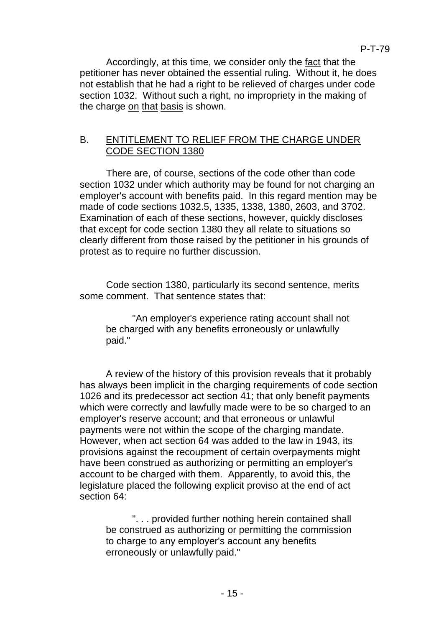Accordingly, at this time, we consider only the fact that the petitioner has never obtained the essential ruling. Without it, he does not establish that he had a right to be relieved of charges under code section 1032. Without such a right, no impropriety in the making of the charge on that basis is shown.

# B. ENTITLEMENT TO RELIEF FROM THE CHARGE UNDER CODE SECTION 1380

There are, of course, sections of the code other than code section 1032 under which authority may be found for not charging an employer's account with benefits paid. In this regard mention may be made of code sections 1032.5, 1335, 1338, 1380, 2603, and 3702. Examination of each of these sections, however, quickly discloses that except for code section 1380 they all relate to situations so clearly different from those raised by the petitioner in his grounds of protest as to require no further discussion.

Code section 1380, particularly its second sentence, merits some comment. That sentence states that:

"An employer's experience rating account shall not be charged with any benefits erroneously or unlawfully paid."

A review of the history of this provision reveals that it probably has always been implicit in the charging requirements of code section 1026 and its predecessor act section 41; that only benefit payments which were correctly and lawfully made were to be so charged to an employer's reserve account; and that erroneous or unlawful payments were not within the scope of the charging mandate. However, when act section 64 was added to the law in 1943, its provisions against the recoupment of certain overpayments might have been construed as authorizing or permitting an employer's account to be charged with them. Apparently, to avoid this, the legislature placed the following explicit proviso at the end of act section 64:

". . . provided further nothing herein contained shall be construed as authorizing or permitting the commission to charge to any employer's account any benefits erroneously or unlawfully paid."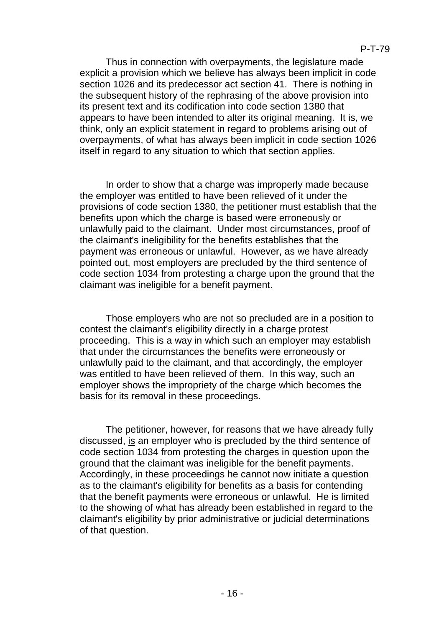Thus in connection with overpayments, the legislature made explicit a provision which we believe has always been implicit in code section 1026 and its predecessor act section 41. There is nothing in the subsequent history of the rephrasing of the above provision into its present text and its codification into code section 1380 that appears to have been intended to alter its original meaning. It is, we think, only an explicit statement in regard to problems arising out of overpayments, of what has always been implicit in code section 1026 itself in regard to any situation to which that section applies.

In order to show that a charge was improperly made because the employer was entitled to have been relieved of it under the provisions of code section 1380, the petitioner must establish that the benefits upon which the charge is based were erroneously or unlawfully paid to the claimant. Under most circumstances, proof of the claimant's ineligibility for the benefits establishes that the payment was erroneous or unlawful. However, as we have already pointed out, most employers are precluded by the third sentence of code section 1034 from protesting a charge upon the ground that the claimant was ineligible for a benefit payment.

Those employers who are not so precluded are in a position to contest the claimant's eligibility directly in a charge protest proceeding. This is a way in which such an employer may establish that under the circumstances the benefits were erroneously or unlawfully paid to the claimant, and that accordingly, the employer was entitled to have been relieved of them. In this way, such an employer shows the impropriety of the charge which becomes the basis for its removal in these proceedings.

The petitioner, however, for reasons that we have already fully discussed, is an employer who is precluded by the third sentence of code section 1034 from protesting the charges in question upon the ground that the claimant was ineligible for the benefit payments. Accordingly, in these proceedings he cannot now initiate a question as to the claimant's eligibility for benefits as a basis for contending that the benefit payments were erroneous or unlawful. He is limited to the showing of what has already been established in regard to the claimant's eligibility by prior administrative or judicial determinations of that question.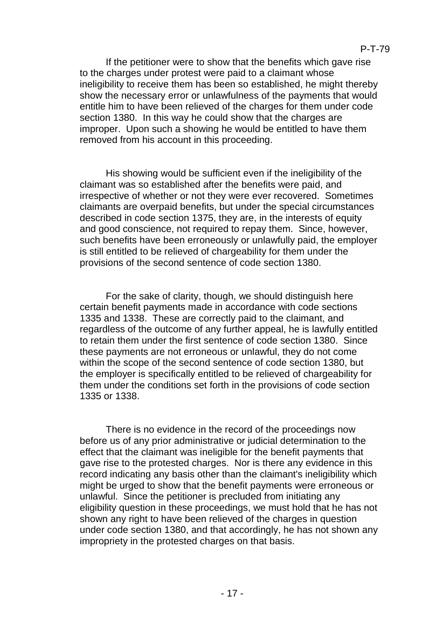If the petitioner were to show that the benefits which gave rise to the charges under protest were paid to a claimant whose ineligibility to receive them has been so established, he might thereby show the necessary error or unlawfulness of the payments that would entitle him to have been relieved of the charges for them under code section 1380. In this way he could show that the charges are improper. Upon such a showing he would be entitled to have them removed from his account in this proceeding.

His showing would be sufficient even if the ineligibility of the claimant was so established after the benefits were paid, and irrespective of whether or not they were ever recovered. Sometimes claimants are overpaid benefits, but under the special circumstances described in code section 1375, they are, in the interests of equity and good conscience, not required to repay them. Since, however, such benefits have been erroneously or unlawfully paid, the employer is still entitled to be relieved of chargeability for them under the provisions of the second sentence of code section 1380.

For the sake of clarity, though, we should distinguish here certain benefit payments made in accordance with code sections 1335 and 1338. These are correctly paid to the claimant, and regardless of the outcome of any further appeal, he is lawfully entitled to retain them under the first sentence of code section 1380. Since these payments are not erroneous or unlawful, they do not come within the scope of the second sentence of code section 1380, but the employer is specifically entitled to be relieved of chargeability for them under the conditions set forth in the provisions of code section 1335 or 1338.

There is no evidence in the record of the proceedings now before us of any prior administrative or judicial determination to the effect that the claimant was ineligible for the benefit payments that gave rise to the protested charges. Nor is there any evidence in this record indicating any basis other than the claimant's ineligibility which might be urged to show that the benefit payments were erroneous or unlawful. Since the petitioner is precluded from initiating any eligibility question in these proceedings, we must hold that he has not shown any right to have been relieved of the charges in question under code section 1380, and that accordingly, he has not shown any impropriety in the protested charges on that basis.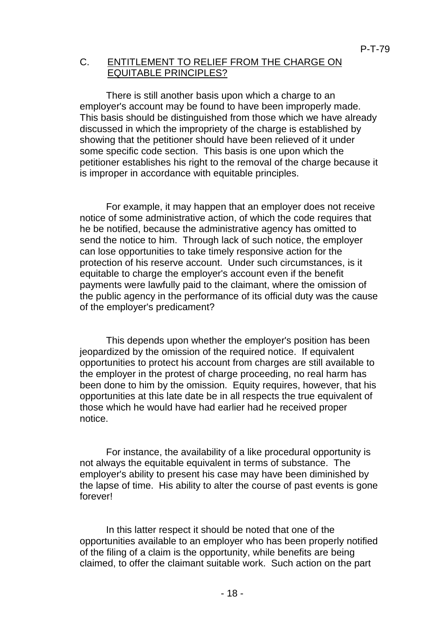### C. ENTITLEMENT TO RELIEF FROM THE CHARGE ON EQUITABLE PRINCIPLES?

There is still another basis upon which a charge to an employer's account may be found to have been improperly made. This basis should be distinguished from those which we have already discussed in which the impropriety of the charge is established by showing that the petitioner should have been relieved of it under some specific code section. This basis is one upon which the petitioner establishes his right to the removal of the charge because it is improper in accordance with equitable principles.

For example, it may happen that an employer does not receive notice of some administrative action, of which the code requires that he be notified, because the administrative agency has omitted to send the notice to him. Through lack of such notice, the employer can lose opportunities to take timely responsive action for the protection of his reserve account. Under such circumstances, is it equitable to charge the employer's account even if the benefit payments were lawfully paid to the claimant, where the omission of the public agency in the performance of its official duty was the cause of the employer's predicament?

This depends upon whether the employer's position has been jeopardized by the omission of the required notice. If equivalent opportunities to protect his account from charges are still available to the employer in the protest of charge proceeding, no real harm has been done to him by the omission. Equity requires, however, that his opportunities at this late date be in all respects the true equivalent of those which he would have had earlier had he received proper notice.

For instance, the availability of a like procedural opportunity is not always the equitable equivalent in terms of substance. The employer's ability to present his case may have been diminished by the lapse of time. His ability to alter the course of past events is gone forever!

In this latter respect it should be noted that one of the opportunities available to an employer who has been properly notified of the filing of a claim is the opportunity, while benefits are being claimed, to offer the claimant suitable work. Such action on the part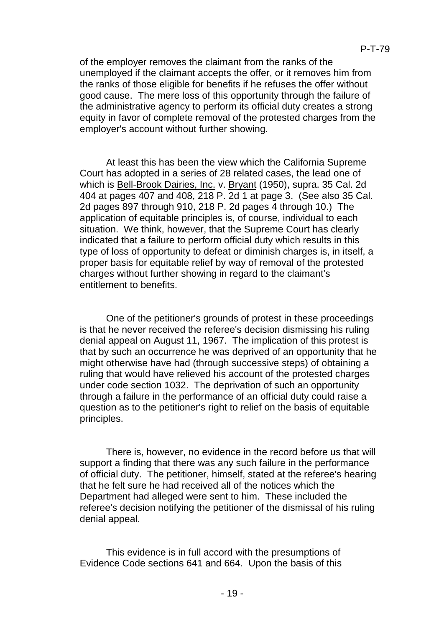of the employer removes the claimant from the ranks of the unemployed if the claimant accepts the offer, or it removes him from the ranks of those eligible for benefits if he refuses the offer without good cause. The mere loss of this opportunity through the failure of the administrative agency to perform its official duty creates a strong equity in favor of complete removal of the protested charges from the employer's account without further showing.

At least this has been the view which the California Supreme Court has adopted in a series of 28 related cases, the lead one of which is Bell-Brook Dairies, Inc. v. Bryant (1950), supra. 35 Cal. 2d 404 at pages 407 and 408, 218 P. 2d 1 at page 3. (See also 35 Cal. 2d pages 897 through 910, 218 P. 2d pages 4 through 10.) The application of equitable principles is, of course, individual to each situation. We think, however, that the Supreme Court has clearly indicated that a failure to perform official duty which results in this type of loss of opportunity to defeat or diminish charges is, in itself, a proper basis for equitable relief by way of removal of the protested charges without further showing in regard to the claimant's entitlement to benefits.

One of the petitioner's grounds of protest in these proceedings is that he never received the referee's decision dismissing his ruling denial appeal on August 11, 1967. The implication of this protest is that by such an occurrence he was deprived of an opportunity that he might otherwise have had (through successive steps) of obtaining a ruling that would have relieved his account of the protested charges under code section 1032. The deprivation of such an opportunity through a failure in the performance of an official duty could raise a question as to the petitioner's right to relief on the basis of equitable principles.

There is, however, no evidence in the record before us that will support a finding that there was any such failure in the performance of official duty. The petitioner, himself, stated at the referee's hearing that he felt sure he had received all of the notices which the Department had alleged were sent to him. These included the referee's decision notifying the petitioner of the dismissal of his ruling denial appeal.

This evidence is in full accord with the presumptions of Evidence Code sections 641 and 664. Upon the basis of this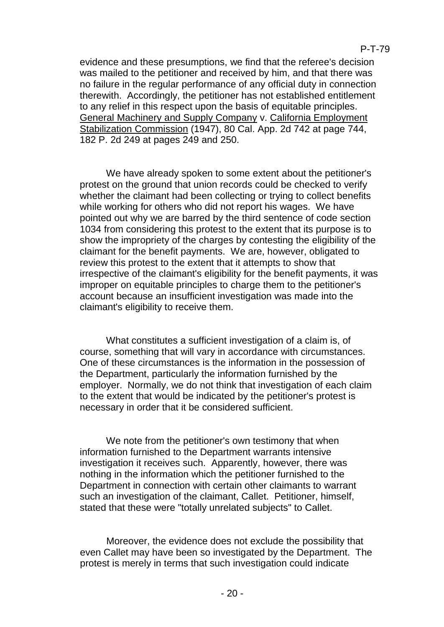evidence and these presumptions, we find that the referee's decision was mailed to the petitioner and received by him, and that there was no failure in the regular performance of any official duty in connection therewith. Accordingly, the petitioner has not established entitlement to any relief in this respect upon the basis of equitable principles. General Machinery and Supply Company v. California Employment Stabilization Commission (1947), 80 Cal. App. 2d 742 at page 744, 182 P. 2d 249 at pages 249 and 250.

We have already spoken to some extent about the petitioner's protest on the ground that union records could be checked to verify whether the claimant had been collecting or trying to collect benefits while working for others who did not report his wages. We have pointed out why we are barred by the third sentence of code section 1034 from considering this protest to the extent that its purpose is to show the impropriety of the charges by contesting the eligibility of the claimant for the benefit payments. We are, however, obligated to review this protest to the extent that it attempts to show that irrespective of the claimant's eligibility for the benefit payments, it was improper on equitable principles to charge them to the petitioner's account because an insufficient investigation was made into the claimant's eligibility to receive them.

What constitutes a sufficient investigation of a claim is, of course, something that will vary in accordance with circumstances. One of these circumstances is the information in the possession of the Department, particularly the information furnished by the employer. Normally, we do not think that investigation of each claim to the extent that would be indicated by the petitioner's protest is necessary in order that it be considered sufficient.

We note from the petitioner's own testimony that when information furnished to the Department warrants intensive investigation it receives such. Apparently, however, there was nothing in the information which the petitioner furnished to the Department in connection with certain other claimants to warrant such an investigation of the claimant, Callet. Petitioner, himself, stated that these were "totally unrelated subjects" to Callet.

Moreover, the evidence does not exclude the possibility that even Callet may have been so investigated by the Department. The protest is merely in terms that such investigation could indicate